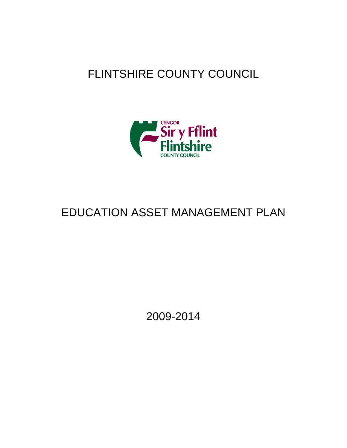# FLINTSHIRE COUNTY COUNCIL



# EDUCATION ASSET MANAGEMENT PLAN

2009-2014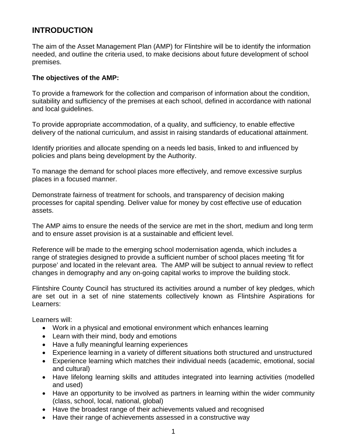# **INTRODUCTION**

The aim of the Asset Management Plan (AMP) for Flintshire will be to identify the information needed, and outline the criteria used, to make decisions about future development of school premises.

#### **The objectives of the AMP:**

To provide a framework for the collection and comparison of information about the condition, suitability and sufficiency of the premises at each school, defined in accordance with national and local guidelines.

To provide appropriate accommodation, of a quality, and sufficiency, to enable effective delivery of the national curriculum, and assist in raising standards of educational attainment.

Identify priorities and allocate spending on a needs led basis, linked to and influenced by policies and plans being development by the Authority.

To manage the demand for school places more effectively, and remove excessive surplus places in a focused manner.

Demonstrate fairness of treatment for schools, and transparency of decision making processes for capital spending. Deliver value for money by cost effective use of education assets.

The AMP aims to ensure the needs of the service are met in the short, medium and long term and to ensure asset provision is at a sustainable and efficient level.

Reference will be made to the emerging school modernisation agenda, which includes a range of strategies designed to provide a sufficient number of school places meeting 'fit for purpose' and located in the relevant area. The AMP will be subject to annual review to reflect changes in demography and any on-going capital works to improve the building stock.

Flintshire County Council has structured its activities around a number of key pledges, which are set out in a set of nine statements collectively known as Flintshire Aspirations for Learners:

Learners will:

- Work in a physical and emotional environment which enhances learning
- Learn with their mind, body and emotions
- Have a fully meaningful learning experiences
- Experience learning in a variety of different situations both structured and unstructured
- Experience learning which matches their individual needs (academic, emotional, social and cultural)
- Have lifelong learning skills and attitudes integrated into learning activities (modelled and used)
- Have an opportunity to be involved as partners in learning within the wider community (class, school, local, national, global)
- Have the broadest range of their achievements valued and recognised
- Have their range of achievements assessed in a constructive way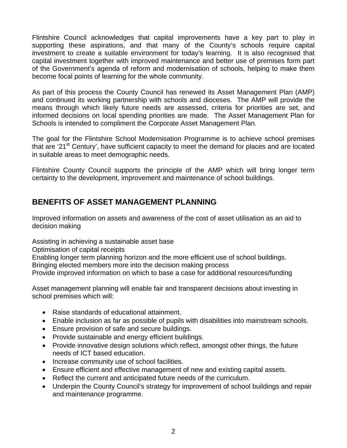Flintshire Council acknowledges that capital improvements have a key part to play in supporting these aspirations, and that many of the County's schools require capital investment to create a suitable environment for today's learning. It is also recognised that capital investment together with improved maintenance and better use of premises form part of the Government's agenda of reform and modernisation of schools, helping to make them become focal points of learning for the whole community.

As part of this process the County Council has renewed its Asset Management Plan (AMP) and continued its working partnership with schools and dioceses. The AMP will provide the means through which likely future needs are assessed, criteria for priorities are set, and informed decisions on local spending priorities are made. The Asset Management Plan for Schools is intended to compliment the Corporate Asset Management Plan.

The goal for the Flintshire School Modernisation Programme is to achieve school premises that are '21<sup>st</sup> Century', have sufficient capacity to meet the demand for places and are located in suitable areas to meet demographic needs.

Flintshire County Council supports the principle of the AMP which will bring longer term certainty to the development, improvement and maintenance of school buildings.

# **BENEFITS OF ASSET MANAGEMENT PLANNING**

Improved information on assets and awareness of the cost of asset utilisation as an aid to decision making

Assisting in achieving a sustainable asset base

Optimisation of capital receipts

Enabling longer term planning horizon and the more efficient use of school buildings.

Bringing elected members more into the decision making process

Provide improved information on which to base a case for additional resources/funding

Asset management planning will enable fair and transparent decisions about investing in school premises which will:

- Raise standards of educational attainment.
- Enable inclusion as far as possible of pupils with disabilities into mainstream schools.
- Ensure provision of safe and secure buildings.
- Provide sustainable and energy efficient buildings.
- Provide innovative design solutions which reflect, amongst other things, the future needs of ICT based education.
- Increase community use of school facilities.
- Ensure efficient and effective management of new and existing capital assets.
- Reflect the current and anticipated future needs of the curriculum.
- Underpin the County Council's strategy for improvement of school buildings and repair and maintenance programme.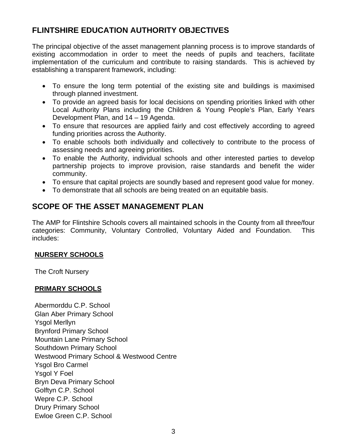# **FLINTSHIRE EDUCATION AUTHORITY OBJECTIVES**

The principal objective of the asset management planning process is to improve standards of existing accommodation in order to meet the needs of pupils and teachers, facilitate implementation of the curriculum and contribute to raising standards. This is achieved by establishing a transparent framework, including:

- To ensure the long term potential of the existing site and buildings is maximised through planned investment.
- To provide an agreed basis for local decisions on spending priorities linked with other Local Authority Plans including the Children & Young People's Plan, Early Years Development Plan, and 14 – 19 Agenda.
- To ensure that resources are applied fairly and cost effectively according to agreed funding priorities across the Authority.
- To enable schools both individually and collectively to contribute to the process of assessing needs and agreeing priorities.
- To enable the Authority, individual schools and other interested parties to develop partnership projects to improve provision, raise standards and benefit the wider community.
- To ensure that capital projects are soundly based and represent good value for money.
- To demonstrate that all schools are being treated on an equitable basis.

# **SCOPE OF THE ASSET MANAGEMENT PLAN**

The AMP for Flintshire Schools covers all maintained schools in the County from all three/four categories: Community, Voluntary Controlled, Voluntary Aided and Foundation. This includes:

#### **NURSERY SCHOOLS**

The Croft Nursery

#### **PRIMARY SCHOOLS**

Abermorddu C.P. School Glan Aber Primary School Ysgol Merllyn Brynford Primary School Mountain Lane Primary School Southdown Primary School Westwood Primary School & Westwood Centre Ysgol Bro Carmel Ysgol Y Foel Bryn Deva Primary School Golftyn C.P. School Wepre C.P. School Drury Primary School Ewloe Green C.P. School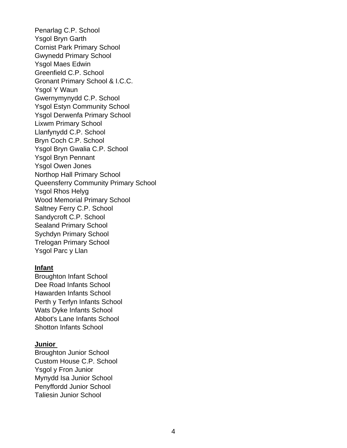Penarlag C.P. School Ysgol Bryn Garth Cornist Park Primary School Gwynedd Primary School Ysgol Maes Edwin Greenfield C.P. School Gronant Primary School & I.C.C. Ysgol Y Waun Gwernymynydd C.P. School Ysgol Estyn Community School Ysgol Derwenfa Primary School Lixwm Primary School Llanfynydd C.P. School Bryn Coch C.P. School Ysgol Bryn Gwalia C.P. School Ysgol Bryn Pennant Ysgol Owen Jones Northop Hall Primary School Queensferry Community Primary School Ysgol Rhos Helyg Wood Memorial Primary School Saltney Ferry C.P. School Sandycroft C.P. School Sealand Primary School Sychdyn Primary School Trelogan Primary School Ysgol Parc y Llan

#### **Infant**

Broughton Infant School Dee Road Infants School Hawarden Infants School Perth y Terfyn Infants School Wats Dyke Infants School Abbot's Lane Infants School Shotton Infants School

#### **Junior**

Broughton Junior School Custom House C.P. School Ysgol y Fron Junior Mynydd Isa Junior School Penyffordd Junior School Taliesin Junior School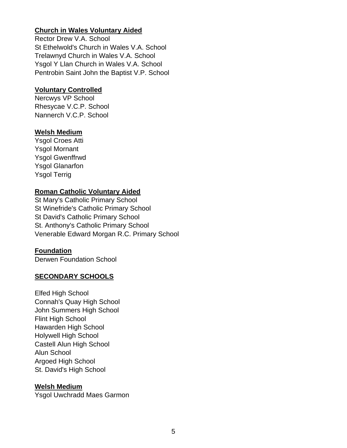## **Church in Wales Voluntary Aided**

Rector Drew V.A. School St Ethelwold's Church in Wales V.A. School Trelawnyd Church in Wales V.A. School Ysgol Y Llan Church in Wales V.A. School Pentrobin Saint John the Baptist V.P. School

## **Voluntary Controlled**

Nercwys VP School Rhesycae V.C.P. School Nannerch V.C.P. School

## **Welsh Medium**

Ysgol Croes Atti Ysgol Mornant Ysgol Gwenffrwd Ysgol Glanarfon Ysgol Terrig

## **Roman Catholic Voluntary Aided**

St Mary's Catholic Primary School St Winefride's Catholic Primary School St David's Catholic Primary School St. Anthony's Catholic Primary School Venerable Edward Morgan R.C. Primary School

## **Foundation**

Derwen Foundation School

## **SECONDARY SCHOOLS**

Elfed High School Connah's Quay High School John Summers High School Flint High School Hawarden High School Holywell High School Castell Alun High School Alun School Argoed High School St. David's High School

#### **Welsh Medium**

Ysgol Uwchradd Maes Garmon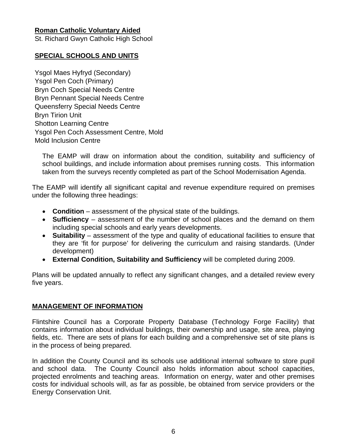## **Roman Catholic Voluntary Aided**

St. Richard Gwyn Catholic High School

## **SPECIAL SCHOOLS AND UNITS**

Ysgol Maes Hyfryd (Secondary) Ysgol Pen Coch (Primary) Bryn Coch Special Needs Centre Bryn Pennant Special Needs Centre Queensferry Special Needs Centre Bryn Tirion Unit Shotton Learning Centre Ysgol Pen Coch Assessment Centre, Mold Mold Inclusion Centre

The EAMP will draw on information about the condition, suitability and sufficiency of school buildings, and include information about premises running costs. This information taken from the surveys recently completed as part of the School Modernisation Agenda.

The EAMP will identify all significant capital and revenue expenditure required on premises under the following three headings:

- **Condition** assessment of the physical state of the buildings.
- **Sufficiency** assessment of the number of school places and the demand on them including special schools and early years developments.
- **Suitability** assessment of the type and quality of educational facilities to ensure that they are 'fit for purpose' for delivering the curriculum and raising standards. (Under development)
- **External Condition, Suitability and Sufficiency** will be completed during 2009.

Plans will be updated annually to reflect any significant changes, and a detailed review every five years.

#### **MANAGEMENT OF INFORMATION**

Flintshire Council has a Corporate Property Database (Technology Forge Facility) that contains information about individual buildings, their ownership and usage, site area, playing fields, etc. There are sets of plans for each building and a comprehensive set of site plans is in the process of being prepared.

In addition the County Council and its schools use additional internal software to store pupil and school data. The County Council also holds information about school capacities, projected enrolments and teaching areas. Information on energy, water and other premises costs for individual schools will, as far as possible, be obtained from service providers or the Energy Conservation Unit.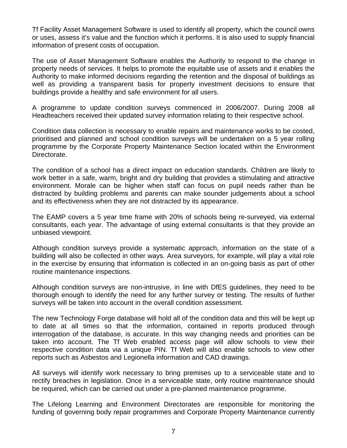Tf Facility Asset Management Software is used to identify all property, which the council owns or uses, assess it's value and the function which it performs. It is also used to supply financial information of present costs of occupation.

The use of Asset Management Software enables the Authority to respond to the change in property needs of services. It helps to promote the equitable use of assets and it enables the Authority to make informed decisions regarding the retention and the disposal of buildings as well as providing a transparent basis for property investment decisions to ensure that buildings provide a healthy and safe environment for all users.

A programme to update condition surveys commenced in 2006/2007. During 2008 all Headteachers received their updated survey information relating to their respective school.

Condition data collection is necessary to enable repairs and maintenance works to be costed, prioritised and planned and school condition surveys will be undertaken on a 5 year rolling programme by the Corporate Property Maintenance Section located within the Environment Directorate.

The condition of a school has a direct impact on education standards. Children are likely to work better in a safe, warm, bright and dry building that provides a stimulating and attractive environment. Morale can be higher when staff can focus on pupil needs rather than be distracted by building problems and parents can make sounder judgements about a school and its effectiveness when they are not distracted by its appearance.

The EAMP covers a 5 year time frame with 20% of schools being re-surveyed, via external consultants, each year. The advantage of using external consultants is that they provide an unbiased viewpoint.

Although condition surveys provide a systematic approach, information on the state of a building will also be collected in other ways. Area surveyors, for example, will play a vital role in the exercise by ensuring that information is collected in an on-going basis as part of other routine maintenance inspections.

Although condition surveys are non-intrusive, in line with DfES guidelines, they need to be thorough enough to identify the need for any further survey or testing. The results of further surveys will be taken into account in the overall condition assessment.

The new Technology Forge database will hold all of the condition data and this will be kept up to date at all times so that the information, contained in reports produced through interrogation of the database, is accurate. In this way changing needs and priorities can be taken into account. The Tf Web enabled access page will allow schools to view their respective condition data via a unique PIN. Tf Web will also enable schools to view other reports such as Asbestos and Legionella information and CAD drawings.

All surveys will identify work necessary to bring premises up to a serviceable state and to rectify breaches in legislation. Once in a serviceable state, only routine maintenance should be required, which can be carried out under a pre-planned maintenance programme.

The Lifelong Learning and Environment Directorates are responsible for monitoring the funding of governing body repair programmes and Corporate Property Maintenance currently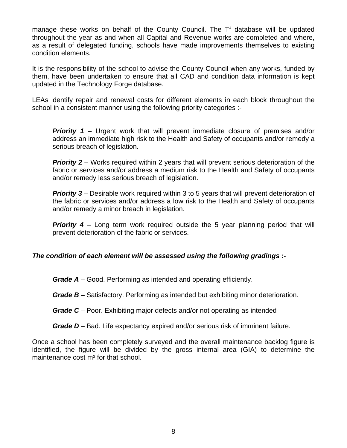manage these works on behalf of the County Council. The Tf database will be updated throughout the year as and when all Capital and Revenue works are completed and where, as a result of delegated funding, schools have made improvements themselves to existing condition elements.

It is the responsibility of the school to advise the County Council when any works, funded by them, have been undertaken to ensure that all CAD and condition data information is kept updated in the Technology Forge database.

LEAs identify repair and renewal costs for different elements in each block throughout the school in a consistent manner using the following priority categories :-

*Priority 1* – Urgent work that will prevent immediate closure of premises and/or address an immediate high risk to the Health and Safety of occupants and/or remedy a serious breach of legislation.

*Priority 2* – Works required within 2 years that will prevent serious deterioration of the fabric or services and/or address a medium risk to the Health and Safety of occupants and/or remedy less serious breach of legislation.

**Priority 3** – Desirable work required within 3 to 5 years that will prevent deterioration of the fabric or services and/or address a low risk to the Health and Safety of occupants and/or remedy a minor breach in legislation.

**Priority 4** – Long term work required outside the 5 year planning period that will prevent deterioration of the fabric or services.

#### *The condition of each element will be assessed using the following gradings :-*

*Grade A* – Good. Performing as intended and operating efficiently.

*Grade B* – Satisfactory. Performing as intended but exhibiting minor deterioration.

*Grade C* – Poor. Exhibiting major defects and/or not operating as intended

*Grade D* – Bad. Life expectancy expired and/or serious risk of imminent failure.

Once a school has been completely surveyed and the overall maintenance backlog figure is identified, the figure will be divided by the gross internal area (GIA) to determine the maintenance cost m² for that school.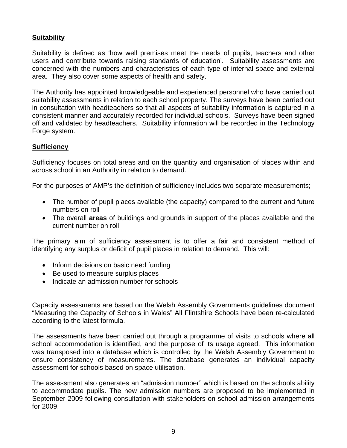## **Suitability**

Suitability is defined as 'how well premises meet the needs of pupils, teachers and other users and contribute towards raising standards of education'. Suitability assessments are concerned with the numbers and characteristics of each type of internal space and external area. They also cover some aspects of health and safety.

The Authority has appointed knowledgeable and experienced personnel who have carried out suitability assessments in relation to each school property. The surveys have been carried out in consultation with headteachers so that all aspects of suitability information is captured in a consistent manner and accurately recorded for individual schools. Surveys have been signed off and validated by headteachers. Suitability information will be recorded in the Technology Forge system.

## **Sufficiency**

Sufficiency focuses on total areas and on the quantity and organisation of places within and across school in an Authority in relation to demand.

For the purposes of AMP's the definition of sufficiency includes two separate measurements;

- The number of pupil places available (the capacity) compared to the current and future numbers on roll
- The overall **areas** of buildings and grounds in support of the places available and the current number on roll

The primary aim of sufficiency assessment is to offer a fair and consistent method of identifying any surplus or deficit of pupil places in relation to demand. This will:

- Inform decisions on basic need funding
- Be used to measure surplus places
- Indicate an admission number for schools

Capacity assessments are based on the Welsh Assembly Governments guidelines document "Measuring the Capacity of Schools in Wales" All Flintshire Schools have been re-calculated according to the latest formula.

The assessments have been carried out through a programme of visits to schools where all school accommodation is identified, and the purpose of its usage agreed. This information was transposed into a database which is controlled by the Welsh Assembly Government to ensure consistency of measurements. The database generates an individual capacity assessment for schools based on space utilisation.

The assessment also generates an "admission number" which is based on the schools ability to accommodate pupils. The new admission numbers are proposed to be implemented in September 2009 following consultation with stakeholders on school admission arrangements for 2009.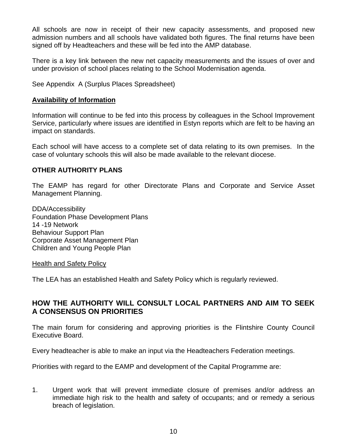All schools are now in receipt of their new capacity assessments, and proposed new admission numbers and all schools have validated both figures. The final returns have been signed off by Headteachers and these will be fed into the AMP database.

There is a key link between the new net capacity measurements and the issues of over and under provision of school places relating to the School Modernisation agenda.

See Appendix A (Surplus Places Spreadsheet)

#### **Availability of Information**

Information will continue to be fed into this process by colleagues in the School Improvement Service, particularly where issues are identified in Estyn reports which are felt to be having an impact on standards.

Each school will have access to a complete set of data relating to its own premises. In the case of voluntary schools this will also be made available to the relevant diocese.

#### **OTHER AUTHORITY PLANS**

The EAMP has regard for other Directorate Plans and Corporate and Service Asset Management Planning.

DDA/Accessibility Foundation Phase Development Plans 14 -19 Network Behaviour Support Plan Corporate Asset Management Plan Children and Young People Plan

Health and Safety Policy

The LEA has an established Health and Safety Policy which is regularly reviewed.

## **HOW THE AUTHORITY WILL CONSULT LOCAL PARTNERS AND AIM TO SEEK A CONSENSUS ON PRIORITIES**

The main forum for considering and approving priorities is the Flintshire County Council Executive Board.

Every headteacher is able to make an input via the Headteachers Federation meetings.

Priorities with regard to the EAMP and development of the Capital Programme are:

1. Urgent work that will prevent immediate closure of premises and/or address an immediate high risk to the health and safety of occupants; and or remedy a serious breach of legislation.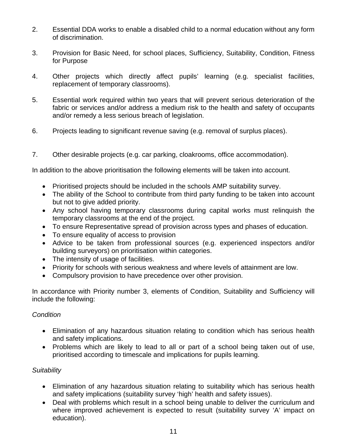- 2. Essential DDA works to enable a disabled child to a normal education without any form of discrimination.
- 3. Provision for Basic Need, for school places, Sufficiency, Suitability, Condition, Fitness for Purpose
- 4. Other projects which directly affect pupils' learning (e.g. specialist facilities, replacement of temporary classrooms).
- 5. Essential work required within two years that will prevent serious deterioration of the fabric or services and/or address a medium risk to the health and safety of occupants and/or remedy a less serious breach of legislation.
- 6. Projects leading to significant revenue saving (e.g. removal of surplus places).
- 7. Other desirable projects (e.g. car parking, cloakrooms, office accommodation).

In addition to the above prioritisation the following elements will be taken into account.

- Prioritised projects should be included in the schools AMP suitability survey.
- The ability of the School to contribute from third party funding to be taken into account but not to give added priority.
- Any school having temporary classrooms during capital works must relinquish the temporary classrooms at the end of the project.
- To ensure Representative spread of provision across types and phases of education.
- To ensure equality of access to provision
- Advice to be taken from professional sources (e.g. experienced inspectors and/or building surveyors) on prioritisation within categories.
- The intensity of usage of facilities.
- Priority for schools with serious weakness and where levels of attainment are low.
- Compulsory provision to have precedence over other provision.

In accordance with Priority number 3, elements of Condition, Suitability and Sufficiency will include the following:

#### *Condition*

- Elimination of any hazardous situation relating to condition which has serious health and safety implications.
- Problems which are likely to lead to all or part of a school being taken out of use, prioritised according to timescale and implications for pupils learning.

#### *Suitability*

- Elimination of any hazardous situation relating to suitability which has serious health and safety implications (suitability survey 'high' health and safety issues).
- Deal with problems which result in a school being unable to deliver the curriculum and where improved achievement is expected to result (suitability survey 'A' impact on education).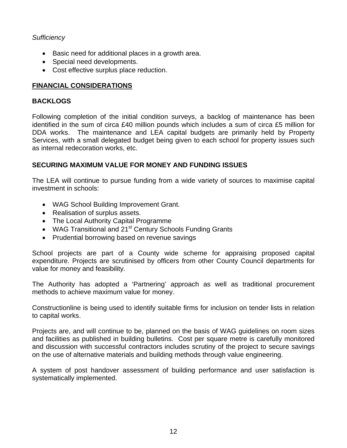## *Sufficiency*

- Basic need for additional places in a growth area.
- Special need developments.
- Cost effective surplus place reduction.

## **FINANCIAL CONSIDERATIONS**

## **BACKLOGS**

Following completion of the initial condition surveys, a backlog of maintenance has been identified in the sum of circa £40 million pounds which includes a sum of circa £5 million for DDA works. The maintenance and LEA capital budgets are primarily held by Property Services, with a small delegated budget being given to each school for property issues such as internal redecoration works, etc.

## **SECURING MAXIMUM VALUE FOR MONEY AND FUNDING ISSUES**

The LEA will continue to pursue funding from a wide variety of sources to maximise capital investment in schools:

- WAG School Building Improvement Grant.
- Realisation of surplus assets.
- The Local Authority Capital Programme
- WAG Transitional and 21<sup>st</sup> Century Schools Funding Grants
- Prudential borrowing based on revenue savings

School projects are part of a County wide scheme for appraising proposed capital expenditure. Projects are scrutinised by officers from other County Council departments for value for money and feasibility.

The Authority has adopted a 'Partnering' approach as well as traditional procurement methods to achieve maximum value for money.

Constructionline is being used to identify suitable firms for inclusion on tender lists in relation to capital works.

Projects are, and will continue to be, planned on the basis of WAG guidelines on room sizes and facilities as published in building bulletins. Cost per square metre is carefully monitored and discussion with successful contractors includes scrutiny of the project to secure savings on the use of alternative materials and building methods through value engineering.

A system of post handover assessment of building performance and user satisfaction is systematically implemented.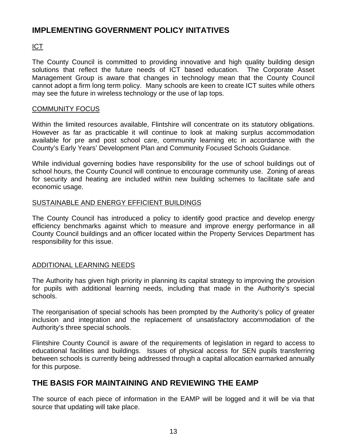# **IMPLEMENTING GOVERNMENT POLICY INITATIVES**

## ICT

The County Council is committed to providing innovative and high quality building design solutions that reflect the future needs of ICT based education. The Corporate Asset Management Group is aware that changes in technology mean that the County Council cannot adopt a firm long term policy. Many schools are keen to create ICT suites while others may see the future in wireless technology or the use of lap tops.

## COMMUNITY FOCUS

Within the limited resources available, Flintshire will concentrate on its statutory obligations. However as far as practicable it will continue to look at making surplus accommodation available for pre and post school care, community learning etc in accordance with the County's Early Years' Development Plan and Community Focused Schools Guidance.

While individual governing bodies have responsibility for the use of school buildings out of school hours, the County Council will continue to encourage community use. Zoning of areas for security and heating are included within new building schemes to facilitate safe and economic usage.

## SUSTAINABLE AND ENERGY EFFICIENT BUILDINGS

The County Council has introduced a policy to identify good practice and develop energy efficiency benchmarks against which to measure and improve energy performance in all County Council buildings and an officer located within the Property Services Department has responsibility for this issue.

## ADDITIONAL LEARNING NEEDS

The Authority has given high priority in planning its capital strategy to improving the provision for pupils with additional learning needs, including that made in the Authority's special schools.

The reorganisation of special schools has been prompted by the Authority's policy of greater inclusion and integration and the replacement of unsatisfactory accommodation of the Authority's three special schools.

Flintshire County Council is aware of the requirements of legislation in regard to access to educational facilities and buildings. Issues of physical access for SEN pupils transferring between schools is currently being addressed through a capital allocation earmarked annually for this purpose.

## **THE BASIS FOR MAINTAINING AND REVIEWING THE EAMP**

The source of each piece of information in the EAMP will be logged and it will be via that source that updating will take place.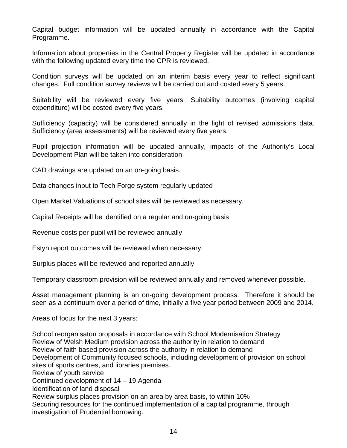Capital budget information will be updated annually in accordance with the Capital Programme.

Information about properties in the Central Property Register will be updated in accordance with the following updated every time the CPR is reviewed.

Condition surveys will be updated on an interim basis every year to reflect significant changes. Full condition survey reviews will be carried out and costed every 5 years.

Suitability will be reviewed every five years. Suitability outcomes (involving capital expenditure) will be costed every five years.

Sufficiency (capacity) will be considered annually in the light of revised admissions data. Sufficiency (area assessments) will be reviewed every five years.

Pupil projection information will be updated annually, impacts of the Authority's Local Development Plan will be taken into consideration

CAD drawings are updated on an on-going basis.

Data changes input to Tech Forge system regularly updated

Open Market Valuations of school sites will be reviewed as necessary.

Capital Receipts will be identified on a regular and on-going basis

Revenue costs per pupil will be reviewed annually

Estyn report outcomes will be reviewed when necessary.

Surplus places will be reviewed and reported annually

Temporary classroom provision will be reviewed annually and removed whenever possible.

Asset management planning is an on-going development process. Therefore it should be seen as a continuum over a period of time, initially a five year period between 2009 and 2014.

Areas of focus for the next 3 years:

School reorganisaton proposals in accordance with School Modernisation Strategy Review of Welsh Medium provision across the authority in relation to demand Review of faith based provision across the authority in relation to demand Development of Community focused schools, including development of provision on school sites of sports centres, and libraries premises. Review of youth service Continued development of 14 – 19 Agenda Identification of land disposal Review surplus places provision on an area by area basis, to within 10% Securing resources for the continued implementation of a capital programme, through investigation of Prudential borrowing.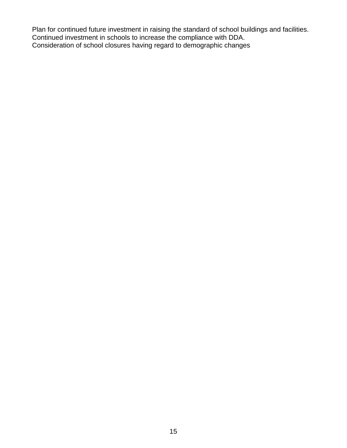Plan for continued future investment in raising the standard of school buildings and facilities. Continued investment in schools to increase the compliance with DDA. Consideration of school closures having regard to demographic changes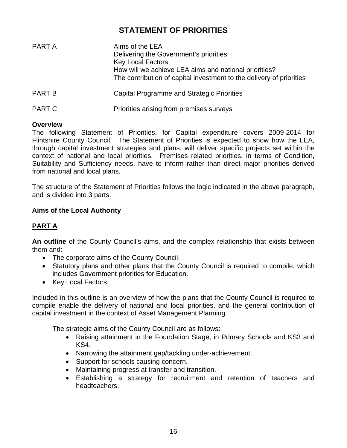# **STATEMENT OF PRIORITIES**

| PART A        | Aims of the LEA<br>Delivering the Government's priorities<br><b>Key Local Factors</b><br>How will we achieve LEA aims and national priorities?<br>The contribution of capital investment to the delivery of priorities |
|---------------|------------------------------------------------------------------------------------------------------------------------------------------------------------------------------------------------------------------------|
| <b>PART B</b> | <b>Capital Programme and Strategic Priorities</b>                                                                                                                                                                      |
| PART C        | Priorities arising from premises surveys                                                                                                                                                                               |

## **Overview**

The following Statement of Priorities, for Capital expenditure covers 2009-2014 for Flintshire County Council. The Statement of Priorities is expected to show how the LEA, through capital investment strategies and plans, will deliver specific projects set within the context of national and local priorities. Premises related priorities, in terms of Condition, Suitability and Sufficiency needs, have to inform rather than direct major priorities derived from national and local plans.

The structure of the Statement of Priorities follows the logic indicated in the above paragraph, and is divided into 3 parts.

## **Aims of the Local Authority**

## **PART A**

**An outline** of the County Council's aims, and the complex relationship that exists between them and:

- The corporate aims of the County Council.
- Statutory plans and other plans that the County Council is required to compile, which includes Government priorities for Education.
- Key Local Factors.

Included in this outline is an overview of how the plans that the County Council is required to compile enable the delivery of national and local priorities, and the general contribution of capital investment in the context of Asset Management Planning.

The strategic aims of the County Council are as follows:

- Raising attainment in the Foundation Stage, in Primary Schools and KS3 and KS4.
- Narrowing the attainment gap/tackling under-achievement.
- Support for schools causing concern.
- Maintaining progress at transfer and transition.
- Establishing a strategy for recruitment and retention of teachers and headteachers.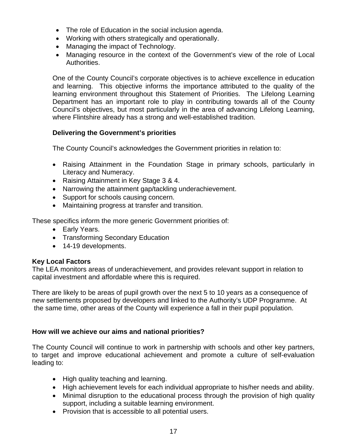- The role of Education in the social inclusion agenda.
- Working with others strategically and operationally.
- Managing the impact of Technology.
- Managing resource in the context of the Government's view of the role of Local Authorities.

 One of the County Council's corporate objectives is to achieve excellence in education and learning. This objective informs the importance attributed to the quality of the learning environment throughout this Statement of Priorities. The Lifelong Learning Department has an important role to play in contributing towards all of the County Council's objectives, but most particularly in the area of advancing Lifelong Learning, where Flintshire already has a strong and well-established tradition.

## **Delivering the Government's priorities**

The County Council's acknowledges the Government priorities in relation to:

- Raising Attainment in the Foundation Stage in primary schools, particularly in Literacy and Numeracy.
- Raising Attainment in Key Stage 3 & 4.
- Narrowing the attainment gap/tackling underachievement.
- Support for schools causing concern.
- Maintaining progress at transfer and transition.

These specifics inform the more generic Government priorities of:

- Early Years.
- Transforming Secondary Education
- 14-19 developments.

#### **Key Local Factors**

The LEA monitors areas of underachievement, and provides relevant support in relation to capital investment and affordable where this is required.

There are likely to be areas of pupil growth over the next 5 to 10 years as a consequence of new settlements proposed by developers and linked to the Authority's UDP Programme. At the same time, other areas of the County will experience a fall in their pupil population.

## **How will we achieve our aims and national priorities?**

The County Council will continue to work in partnership with schools and other key partners, to target and improve educational achievement and promote a culture of self-evaluation leading to:

- High quality teaching and learning.
- High achievement levels for each individual appropriate to his/her needs and ability.
- Minimal disruption to the educational process through the provision of high quality support, including a suitable learning environment.
- Provision that is accessible to all potential users.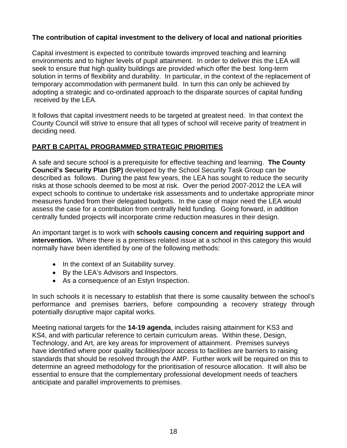## **The contribution of capital investment to the delivery of local and national priorities**

Capital investment is expected to contribute towards improved teaching and learning environments and to higher levels of pupil attainment. In order to deliver this the LEA will seek to ensure that high quality buildings are provided which offer the best long-term solution in terms of flexibility and durability. In particular, in the context of the replacement of temporary accommodation with permanent build. In turn this can only be achieved by adopting a strategic and co-ordinated approach to the disparate sources of capital funding received by the LEA.

It follows that capital investment needs to be targeted at greatest need. In that context the County Council will strive to ensure that all types of school will receive parity of treatment in deciding need.

## **PART B CAPITAL PROGRAMMED STRATEGIC PRIORITIES**

A safe and secure school is a prerequisite for effective teaching and learning. **The County Council's Security Plan (SP)** developed by the School Security Task Group can be described as follows. During the past few years, the LEA has sought to reduce the security risks at those schools deemed to be most at risk. Over the period 2007-2012 the LEA will expect schools to continue to undertake risk assessments and to undertake appropriate minor measures funded from their delegated budgets. In the case of major need the LEA would assess the case for a contribution from centrally held funding. Going forward, in addition centrally funded projects will incorporate crime reduction measures in their design.

An important target is to work with **schools causing concern and requiring support and intervention.** Where there is a premises related issue at a school in this category this would normally have been identified by one of the following methods:

- In the context of an Suitability survey.
- By the LEA's Advisors and Inspectors.
- As a consequence of an Estyn Inspection.

In such schools it is necessary to establish that there is some causality between the school's performance and premises barriers, before compounding a recovery strategy through potentially disruptive major capital works.

Meeting national targets for the **14-19 agenda**, includes raising attainment for KS3 and KS4, and with particular reference to certain curriculum areas. Within these, Design, Technology, and Art, are key areas for improvement of attainment. Premises surveys have identified where poor quality facilities/poor access to facilities are barriers to raising standards that should be resolved through the AMP. Further work will be required on this to determine an agreed methodology for the prioritisation of resource allocation. It will also be essential to ensure that the complementary professional development needs of teachers anticipate and parallel improvements to premises.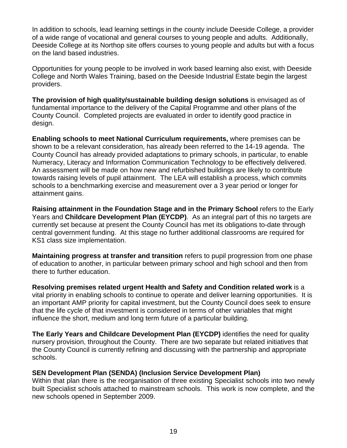In addition to schools, lead learning settings in the county include Deeside College, a provider of a wide range of vocational and general courses to young people and adults. Additionally, Deeside College at its Northop site offers courses to young people and adults but with a focus on the land based industries.

Opportunities for young people to be involved in work based learning also exist, with Deeside College and North Wales Training, based on the Deeside Industrial Estate begin the largest providers.

**The provision of high quality/sustainable building design solutions** is envisaged as of fundamental importance to the delivery of the Capital Programme and other plans of the County Council. Completed projects are evaluated in order to identify good practice in design.

**Enabling schools to meet National Curriculum requirements,** where premises can be shown to be a relevant consideration, has already been referred to the 14-19 agenda. The County Council has already provided adaptations to primary schools, in particular, to enable Numeracy, Literacy and Information Communication Technology to be effectively delivered. An assessment will be made on how new and refurbished buildings are likely to contribute towards raising levels of pupil attainment. The LEA will establish a process, which commits schools to a benchmarking exercise and measurement over a 3 year period or longer for attainment gains.

**Raising attainment in the Foundation Stage and in the Primary School** refers to the Early Years and **Childcare Development Plan (EYCDP)**. As an integral part of this no targets are currently set because at present the County Council has met its obligations to-date through central government funding. At this stage no further additional classrooms are required for KS1 class size implementation.

**Maintaining progress at transfer and transition** refers to pupil progression from one phase of education to another, in particular between primary school and high school and then from there to further education.

**Resolving premises related urgent Health and Safety and Condition related work** is a vital priority in enabling schools to continue to operate and deliver learning opportunities. It is an important AMP priority for capital investment, but the County Council does seek to ensure that the life cycle of that investment is considered in terms of other variables that might influence the short, medium and long term future of a particular building.

**The Early Years and Childcare Development Plan (EYCDP)** identifies the need for quality nursery provision, throughout the County. There are two separate but related initiatives that the County Council is currently refining and discussing with the partnership and appropriate schools.

#### **SEN Development Plan (SENDA) (Inclusion Service Development Plan)**

Within that plan there is the reorganisation of three existing Specialist schools into two newly built Specialist schools attached to mainstream schools. This work is now complete, and the new schools opened in September 2009.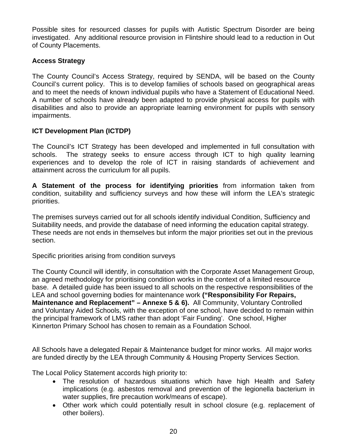Possible sites for resourced classes for pupils with Autistic Spectrum Disorder are being investigated. Any additional resource provision in Flintshire should lead to a reduction in Out of County Placements.

## **Access Strategy**

The County Council's Access Strategy, required by SENDA, will be based on the County Council's current policy. This is to develop families of schools based on geographical areas and to meet the needs of known individual pupils who have a Statement of Educational Need. A number of schools have already been adapted to provide physical access for pupils with disabilities and also to provide an appropriate learning environment for pupils with sensory impairments.

#### **ICT Development Plan (ICTDP)**

The Council's ICT Strategy has been developed and implemented in full consultation with schools. The strategy seeks to ensure access through ICT to high quality learning experiences and to develop the role of ICT in raising standards of achievement and attainment across the curriculum for all pupils.

**A Statement of the process for identifying priorities** from information taken from condition, suitability and sufficiency surveys and how these will inform the LEA's strategic priorities.

The premises surveys carried out for all schools identify individual Condition, Sufficiency and Suitability needs, and provide the database of need informing the education capital strategy. These needs are not ends in themselves but inform the major priorities set out in the previous section.

#### Specific priorities arising from condition surveys

The County Council will identify, in consultation with the Corporate Asset Management Group, an agreed methodology for prioritising condition works in the context of a limited resource base. A detailed guide has been issued to all schools on the respective responsibilities of the LEA and school governing bodies for maintenance work **("Responsibility For Repairs, Maintenance and Replacement" – Annexe 5 & 6).** All Community, Voluntary Controlled and Voluntary Aided Schools, with the exception of one school, have decided to remain within the principal framework of LMS rather than adopt 'Fair Funding'. One school, Higher Kinnerton Primary School has chosen to remain as a Foundation School.

All Schools have a delegated Repair & Maintenance budget for minor works. All major works are funded directly by the LEA through Community & Housing Property Services Section.

The Local Policy Statement accords high priority to:

- The resolution of hazardous situations which have high Health and Safety implications (e.g. asbestos removal and prevention of the legionella bacterium in water supplies, fire precaution work/means of escape).
- Other work which could potentially result in school closure (e.g. replacement of other boilers).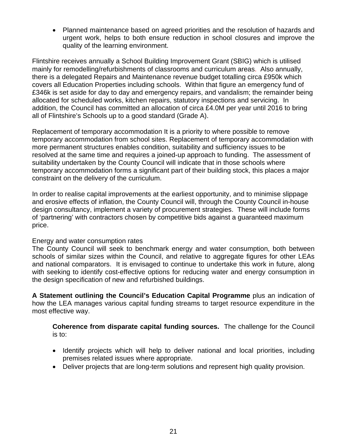• Planned maintenance based on agreed priorities and the resolution of hazards and urgent work, helps to both ensure reduction in school closures and improve the quality of the learning environment.

Flintshire receives annually a School Building Improvement Grant (SBIG) which is utilised mainly for remodelling/refurbishments of classrooms and curriculum areas. Also annually, there is a delegated Repairs and Maintenance revenue budget totalling circa £950k which covers all Education Properties including schools. Within that figure an emergency fund of £346k is set aside for day to day and emergency repairs, and vandalism; the remainder being allocated for scheduled works, kitchen repairs, statutory inspections and servicing. In addition, the Council has committed an allocation of circa £4.0M per year until 2016 to bring all of Flintshire's Schools up to a good standard (Grade A).

Replacement of temporary accommodation It is a priority to where possible to remove temporary accommodation from school sites. Replacement of temporary accommodation with more permanent structures enables condition, suitability and sufficiency issues to be resolved at the same time and requires a joined-up approach to funding. The assessment of suitability undertaken by the County Council will indicate that in those schools where temporary accommodation forms a significant part of their building stock, this places a major constraint on the delivery of the curriculum.

In order to realise capital improvements at the earliest opportunity, and to minimise slippage and erosive effects of inflation, the County Council will, through the County Council in-house design consultancy, implement a variety of procurement strategies. These will include forms of 'partnering' with contractors chosen by competitive bids against a guaranteed maximum price.

#### Energy and water consumption rates

The County Council will seek to benchmark energy and water consumption, both between schools of similar sizes within the Council, and relative to aggregate figures for other LEAs and national comparators. It is envisaged to continue to undertake this work in future, along with seeking to identify cost-effective options for reducing water and energy consumption in the design specification of new and refurbished buildings.

**A Statement outlining the Council's Education Capital Programme** plus an indication of how the LEA manages various capital funding streams to target resource expenditure in the most effective way.

**Coherence from disparate capital funding sources.** The challenge for the Council is to:

- Identify projects which will help to deliver national and local priorities, including premises related issues where appropriate.
- Deliver projects that are long-term solutions and represent high quality provision.